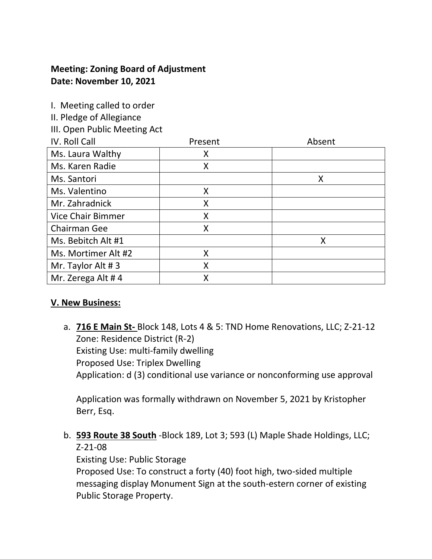## **Meeting: Zoning Board of Adjustment Date: November 10, 2021**

| I. Meeting called to order<br>II. Pledge of Allegiance |         |        |
|--------------------------------------------------------|---------|--------|
| III. Open Public Meeting Act                           |         |        |
| IV. Roll Call                                          | Present | Absent |
| Ms. Laura Walthy                                       | X       |        |
| Ms. Karen Radie                                        | X       |        |
| Ms. Santori                                            |         | X      |
| Ms. Valentino                                          | X       |        |
| Mr. Zahradnick                                         | X       |        |
| <b>Vice Chair Bimmer</b>                               | X       |        |
| <b>Chairman Gee</b>                                    | X       |        |
| Ms. Bebitch Alt #1                                     |         | X      |
| Ms. Mortimer Alt #2                                    | X       |        |
| Mr. Taylor Alt #3                                      | X       |        |
| Mr. Zerega Alt #4                                      | X       |        |

## **V. New Business:**

a. **716 E Main St-** Block 148, Lots 4 & 5: TND Home Renovations, LLC; Z-21-12 Zone: Residence District (R-2) Existing Use: multi-family dwelling Proposed Use: Triplex Dwelling Application: d (3) conditional use variance or nonconforming use approval

Application was formally withdrawn on November 5, 2021 by Kristopher Berr, Esq.

b. **593 Route 38 South** -Block 189, Lot 3; 593 (L) Maple Shade Holdings, LLC; Z-21-08

Existing Use: Public Storage

Proposed Use: To construct a forty (40) foot high, two-sided multiple messaging display Monument Sign at the south-estern corner of existing Public Storage Property.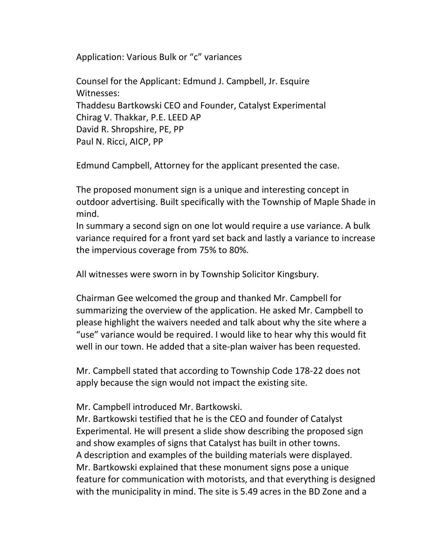Application: Various Bulk or "c" variances

Counsel for the Applicant: Edmund J. Campbell, Jr. Esquire Witnesses: Thaddesu Bartkowski CEO and Founder, Catalyst Experimental Chirag V. Thakkar, P.E. LEED AP David R. Shropshire, PE, PP Paul N. Ricci, AICP, PP

Edmund Campbell, Attorney for the applicant presented the case.

The proposed monument sign is a unique and interesting concept in outdoor advertising. Built specifically with the Township of Maple Shade in mind.

In summary a second sign on one lot would require a use variance. A bulk variance required for a front yard set back and lastly a variance to increase the impervious coverage from 75% to 80%.

All witnesses were sworn in by Township Solicitor Kingsbury.

Chairman Gee welcomed the group and thanked Mr. Campbell for summarizing the overview of the application. He asked Mr. Campbell to please highlight the waivers needed and talk about why the site where a "use" variance would be required. I would like to hear why this would fit well in our town. He added that a site-plan waiver has been requested.

Mr. Campbell stated that according to Township Code 178-22 does not apply because the sign would not impact the existing site.

Mr. Campbell introduced Mr. Bartkowski.

Mr. Bartkowski testified that he is the CEO and founder of Catalyst Experimental. He will present a slide show describing the proposed sign and show examples of signs that Catalyst has built in other towns. A description and examples of the building materials were displayed. Mr. Bartkowski explained that these monument signs pose a unique feature for communication with motorists, and that everything is designed with the municipality in mind. The site is 5.49 acres in the BD Zone and a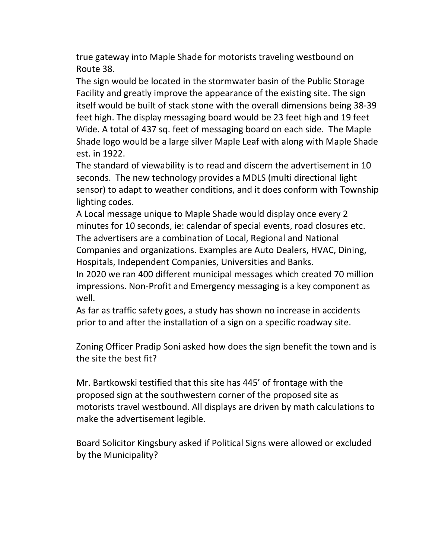true gateway into Maple Shade for motorists traveling westbound on Route 38.

The sign would be located in the stormwater basin of the Public Storage Facility and greatly improve the appearance of the existing site. The sign itself would be built of stack stone with the overall dimensions being 38-39 feet high. The display messaging board would be 23 feet high and 19 feet Wide. A total of 437 sq. feet of messaging board on each side. The Maple Shade logo would be a large silver Maple Leaf with along with Maple Shade est. in 1922.

The standard of viewability is to read and discern the advertisement in 10 seconds. The new technology provides a MDLS (multi directional light sensor) to adapt to weather conditions, and it does conform with Township lighting codes.

A Local message unique to Maple Shade would display once every 2 minutes for 10 seconds, ie: calendar of special events, road closures etc. The advertisers are a combination of Local, Regional and National Companies and organizations. Examples are Auto Dealers, HVAC, Dining, Hospitals, Independent Companies, Universities and Banks.

In 2020 we ran 400 different municipal messages which created 70 million impressions. Non-Profit and Emergency messaging is a key component as well.

As far as traffic safety goes, a study has shown no increase in accidents prior to and after the installation of a sign on a specific roadway site.

Zoning Officer Pradip Soni asked how does the sign benefit the town and is the site the best fit?

Mr. Bartkowski testified that this site has 445' of frontage with the proposed sign at the southwestern corner of the proposed site as motorists travel westbound. All displays are driven by math calculations to make the advertisement legible.

Board Solicitor Kingsbury asked if Political Signs were allowed or excluded by the Municipality?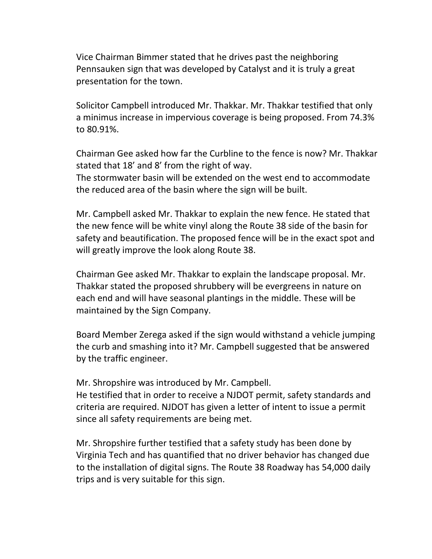Vice Chairman Bimmer stated that he drives past the neighboring Pennsauken sign that was developed by Catalyst and it is truly a great presentation for the town.

Solicitor Campbell introduced Mr. Thakkar. Mr. Thakkar testified that only a minimus increase in impervious coverage is being proposed. From 74.3% to 80.91%.

Chairman Gee asked how far the Curbline to the fence is now? Mr. Thakkar stated that 18' and 8' from the right of way.

The stormwater basin will be extended on the west end to accommodate the reduced area of the basin where the sign will be built.

Mr. Campbell asked Mr. Thakkar to explain the new fence. He stated that the new fence will be white vinyl along the Route 38 side of the basin for safety and beautification. The proposed fence will be in the exact spot and will greatly improve the look along Route 38.

Chairman Gee asked Mr. Thakkar to explain the landscape proposal. Mr. Thakkar stated the proposed shrubbery will be evergreens in nature on each end and will have seasonal plantings in the middle. These will be maintained by the Sign Company.

Board Member Zerega asked if the sign would withstand a vehicle jumping the curb and smashing into it? Mr. Campbell suggested that be answered by the traffic engineer.

Mr. Shropshire was introduced by Mr. Campbell.

He testified that in order to receive a NJDOT permit, safety standards and criteria are required. NJDOT has given a letter of intent to issue a permit since all safety requirements are being met.

Mr. Shropshire further testified that a safety study has been done by Virginia Tech and has quantified that no driver behavior has changed due to the installation of digital signs. The Route 38 Roadway has 54,000 daily trips and is very suitable for this sign.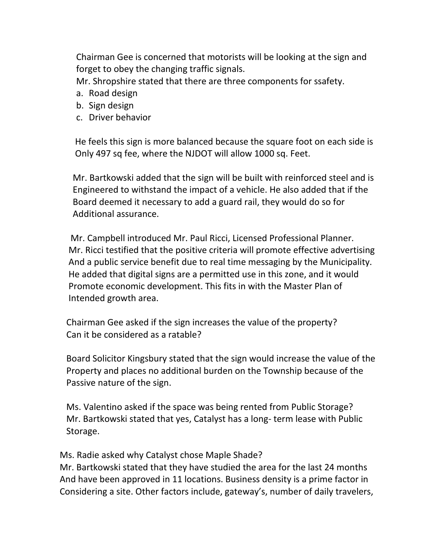Chairman Gee is concerned that motorists will be looking at the sign and forget to obey the changing traffic signals.

Mr. Shropshire stated that there are three components for ssafety.

- a. Road design
- b. Sign design
- c. Driver behavior

 He feels this sign is more balanced because the square foot on each side is Only 497 sq fee, where the NJDOT will allow 1000 sq. Feet.

 Mr. Bartkowski added that the sign will be built with reinforced steel and is Engineered to withstand the impact of a vehicle. He also added that if the Board deemed it necessary to add a guard rail, they would do so for Additional assurance.

 Mr. Campbell introduced Mr. Paul Ricci, Licensed Professional Planner. Mr. Ricci testified that the positive criteria will promote effective advertising And a public service benefit due to real time messaging by the Municipality. He added that digital signs are a permitted use in this zone, and it would Promote economic development. This fits in with the Master Plan of Intended growth area.

 Chairman Gee asked if the sign increases the value of the property? Can it be considered as a ratable?

 Board Solicitor Kingsbury stated that the sign would increase the value of the Property and places no additional burden on the Township because of the Passive nature of the sign.

 Ms. Valentino asked if the space was being rented from Public Storage? Mr. Bartkowski stated that yes, Catalyst has a long- term lease with Public Storage.

Ms. Radie asked why Catalyst chose Maple Shade?

 Mr. Bartkowski stated that they have studied the area for the last 24 months And have been approved in 11 locations. Business density is a prime factor in Considering a site. Other factors include, gateway's, number of daily travelers,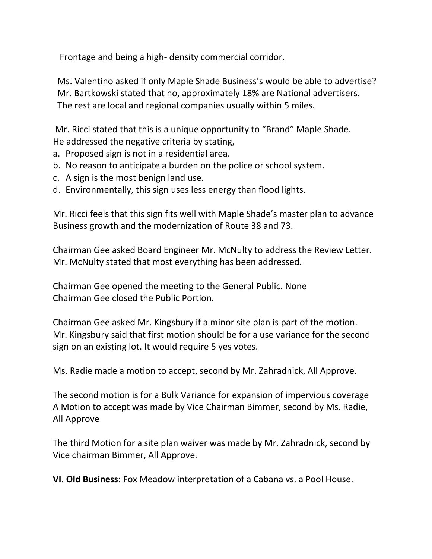Frontage and being a high- density commercial corridor.

 Ms. Valentino asked if only Maple Shade Business's would be able to advertise? Mr. Bartkowski stated that no, approximately 18% are National advertisers. The rest are local and regional companies usually within 5 miles.

 Mr. Ricci stated that this is a unique opportunity to "Brand" Maple Shade. He addressed the negative criteria by stating,

- a. Proposed sign is not in a residential area.
- b. No reason to anticipate a burden on the police or school system.
- c. A sign is the most benign land use.
- d. Environmentally, this sign uses less energy than flood lights.

Mr. Ricci feels that this sign fits well with Maple Shade's master plan to advance Business growth and the modernization of Route 38 and 73.

Chairman Gee asked Board Engineer Mr. McNulty to address the Review Letter. Mr. McNulty stated that most everything has been addressed.

Chairman Gee opened the meeting to the General Public. None Chairman Gee closed the Public Portion.

Chairman Gee asked Mr. Kingsbury if a minor site plan is part of the motion. Mr. Kingsbury said that first motion should be for a use variance for the second sign on an existing lot. It would require 5 yes votes.

Ms. Radie made a motion to accept, second by Mr. Zahradnick, All Approve.

The second motion is for a Bulk Variance for expansion of impervious coverage A Motion to accept was made by Vice Chairman Bimmer, second by Ms. Radie, All Approve

The third Motion for a site plan waiver was made by Mr. Zahradnick, second by Vice chairman Bimmer, All Approve.

**VI. Old Business:** Fox Meadow interpretation of a Cabana vs. a Pool House.